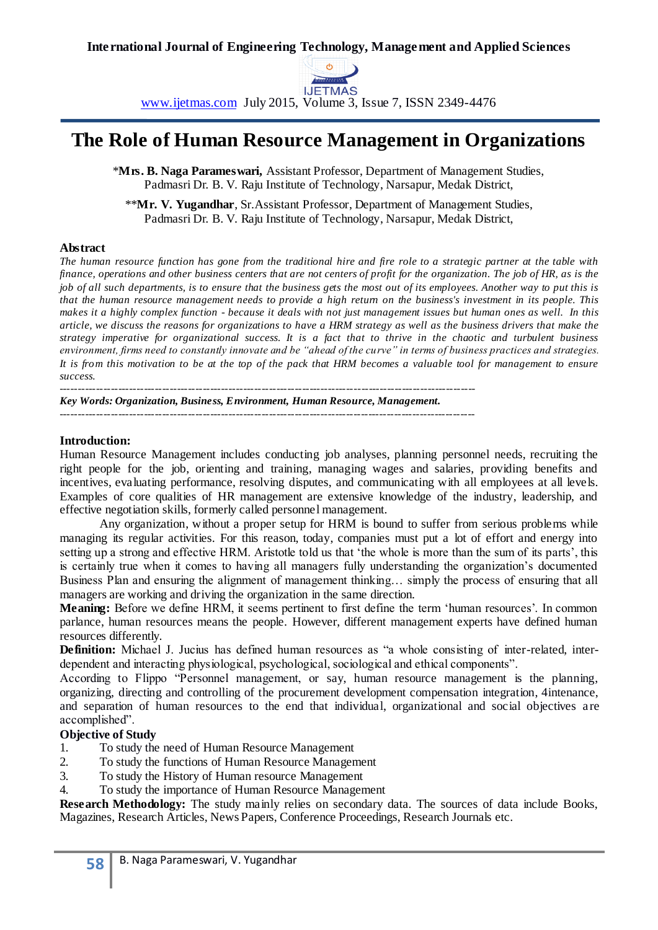

www.ijetmas.com July 2015, Volume 3, Issue 7, ISSN 2349-4476

# **The Role of Human Resource Management in Organizations**

\***Mrs. B. Naga Parameswari,** Assistant Professor, Department of Management Studies, Padmasri Dr. B. V. Raju Institute of Technology, Narsapur, Medak District,

\*\***Mr. V. Yugandhar**, Sr.Assistant Professor, Department of Management Studies, Padmasri Dr. B. V. Raju Institute of Technology, Narsapur, Medak District,

#### **Abstract**

*The human resource function has gone from the traditional hire and fire role to a strategic partner at the table with finance, operations and other business centers that are not centers of profit for the organization. The job of HR, as is the job of all such departments, is to ensure that the business gets the most out of its employees. Another way to put this is that the human resource management needs to provide a high return on the business's investment in its people. This makes it a highly complex function - because it deals with not just management issues but human ones as well. In this article, we discuss the reasons for organizations to have a HRM strategy as well as the business drivers that make the strategy imperative for organizational success. It is a fact that to thrive in the chaotic and turbulent business environment, firms need to constantly innovate and be "ahead of the curve" in terms of business practices and strategies. It is from this motivation to be at the top of the pack that HRM becomes a valuable tool for management to ensure success.*

*----------------------------------------------------------------------------------------------------------------- Key Words: Organization, Business, Environment, Human Resource, Management.*

*-----------------------------------------------------------------------------------------------------------------*

#### **Introduction:**

Human Resource Management includes conducting job analyses, planning personnel needs, recruiting the right people for the job, orienting and training, managing wages and salaries, providing benefits and incentives, evaluating performance, resolving disputes, and communicating with all employees at all levels. Examples of core qualities of HR management are extensive knowledge of the industry, leadership, and effective negotiation skills, formerly called personnel management.

Any organization, without a proper setup for HRM is bound to suffer from serious problems while managing its regular activities. For this reason, today, companies must put a lot of effort and energy into setting up a strong and effective HRM. Aristotle told us that 'the whole is more than the sum of its parts', this is certainly true when it comes to having all managers fully understanding the organization's documented Business Plan and ensuring the alignment of management thinking… simply the process of ensuring that all managers are working and driving the organization in the same direction.

Meaning: Before we define HRM, it seems pertinent to first define the term 'human resources'. In common parlance, human resources means the people. However, different management experts have defined human resources differently.

**Definition:** Michael J. Jucius has defined human resources as "a whole consisting of inter-related, interdependent and interacting physiological, psychological, sociological and ethical components".

According to Flippo "Personnel management, or say, human resource management is the planning, organizing, directing and controlling of the procurement development compensation integration, 4intenance, and separation of human resources to the end that individual, organizational and social objectives are accomplished".

### **Objective of Study**

- 1. To study the need of Human Resource Management
- 2. To study the functions of Human Resource Management
- 3. To study the History of Human resource Management
- 4. To study the importance of Human Resource Management

**Research Methodology:** The study mainly relies on secondary data. The sources of data include Books, Magazines, Research Articles, News Papers, Conference Proceedings, Research Journals etc.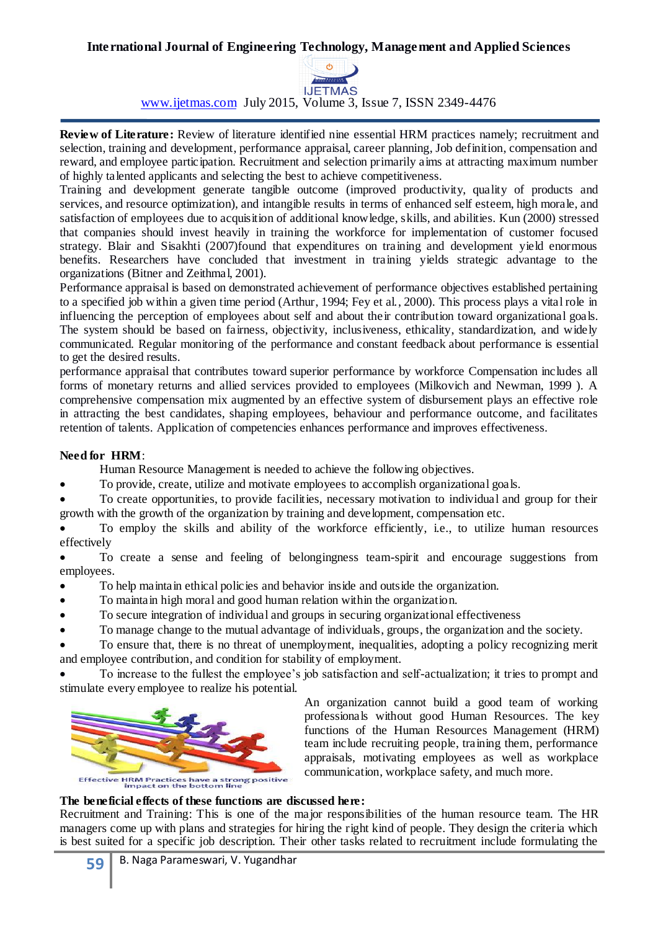

www.ijetmas.com July 2015, Volume 3, Issue 7, ISSN 2349-4476

**Review of Literature:** Review of literature identified nine essential HRM practices namely; recruitment and selection, training and development, performance appraisal, career planning, Job definition, compensation and reward, and employee participation. Recruitment and selection primarily aims at attracting maximum number of highly talented applicants and selecting the best to achieve competitiveness.

Training and development generate tangible outcome (improved productivity, quality of products and services, and resource optimization), and intangible results in terms of enhanced self esteem, high morale, and satisfaction of employees due to acquisition of additional knowledge, skills, and abilities. Kun (2000) stressed that companies should invest heavily in training the workforce for implementation of customer focused strategy. Blair and Sisakhti (2007)found that expenditures on training and development yield enormous benefits. Researchers have concluded that investment in training yields strategic advantage to the organizations (Bitner and Zeithmal, 2001).

Performance appraisal is based on demonstrated achievement of performance objectives established pertaining to a specified job within a given time period (Arthur, 1994; Fey et al., 2000). This process plays a vital role in influencing the perception of employees about self and about their contribution toward organizational goals. The system should be based on fairness, objectivity, inclusiveness, ethicality, standardization, and widely communicated. Regular monitoring of the performance and constant feedback about performance is essential to get the desired results.

performance appraisal that contributes toward superior performance by workforce Compensation includes all forms of monetary returns and allied services provided to employees (Milkovich and Newman, 1999 ). A comprehensive compensation mix augmented by an effective system of disbursement plays an effective role in attracting the best candidates, shaping employees, behaviour and performance outcome, and facilitates retention of talents. Application of competencies enhances performance and improves effectiveness.

## **Need for HRM**:

Human Resource Management is needed to achieve the following objectives.

To provide, create, utilize and motivate employees to accomplish organizational goals.

 To create opportunities, to provide facilities, necessary motivation to individual and group for their growth with the growth of the organization by training and development, compensation etc.

 To employ the skills and ability of the workforce efficiently, i.e., to utilize human resources effectively

 To create a sense and feeling of belongingness team-spirit and encourage suggestions from employees.

To help maintain ethical policies and behavior inside and outside the organization.

- To maintain high moral and good human relation within the organization.
- To secure integration of individual and groups in securing organizational effectiveness
- To manage change to the mutual advantage of individuals, groups, the organization and the society.

 To ensure that, there is no threat of unemployment, inequalities, adopting a policy recognizing merit and employee contribution, and condition for stability of employment.

 To increase to the fullest the employee's job satisfaction and self-actualization; it tries to prompt and stimulate every employee to realize his potential.



An organization cannot build a good team of working professionals without good Human Resources. The key functions of the Human Resources Management (HRM) team include recruiting people, training them, performance appraisals, motivating employees as well as workplace communication, workplace safety, and much more.

### **The beneficial effects of these functions are discussed here:**

Recruitment and Training: This is one of the major responsibilities of the human resource team. The HR managers come up with plans and strategies for hiring the right kind of people. They design the criteria which is best suited for a specific job description. Their other tasks related to recruitment include formulating the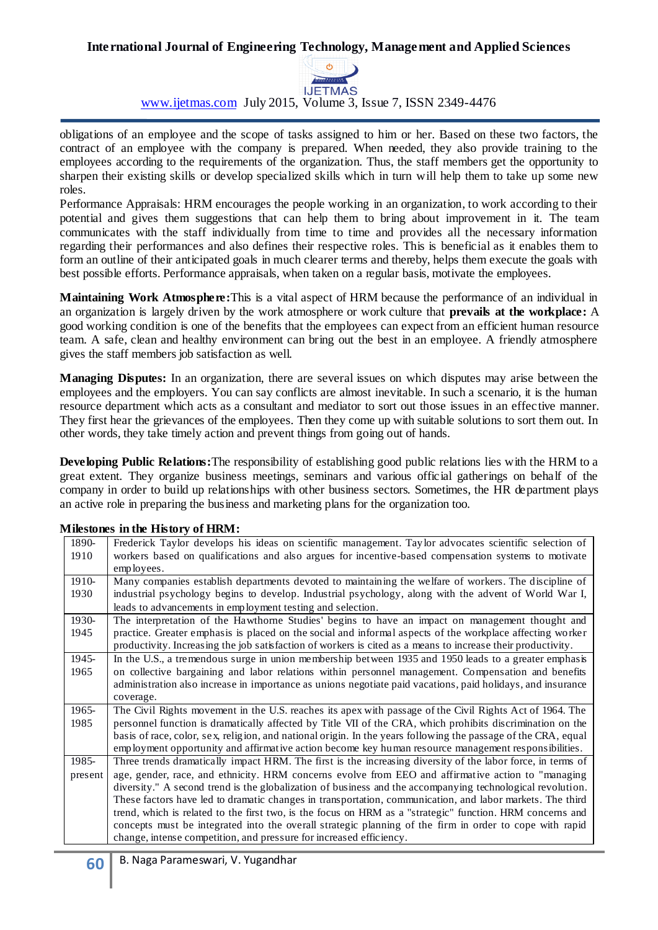

www.ijetmas.com July 2015, Volume 3, Issue 7, ISSN 2349-4476

obligations of an employee and the scope of tasks assigned to him or her. Based on these two factors, the contract of an employee with the company is prepared. When needed, they also provide training to the employees according to the requirements of the organization. Thus, the staff members get the opportunity to sharpen their existing skills or develop specialized skills which in turn will help them to take up some new roles.

Performance Appraisals: HRM encourages the people working in an organization, to work according to their potential and gives them suggestions that can help them to bring about improvement in it. The team communicates with the staff individually from time to time and provides all the necessary information regarding their performances and also defines their respective roles. This is beneficial as it enables them to form an outline of their anticipated goals in much clearer terms and thereby, helps them execute the goals with best possible efforts. Performance appraisals, when taken on a regular basis, motivate the employees.

**Maintaining Work Atmosphere:**This is a vital aspect of HRM because the performance of an individual in an organization is largely driven by the work atmosphere or work culture that **prevails at the workplace:** A good working condition is one of the benefits that the employees can expect from an efficient human resource team. A safe, clean and healthy environment can bring out the best in an employee. A friendly atmosphere gives the staff members job satisfaction as well.

**Managing Disputes:** In an organization, there are several issues on which disputes may arise between the employees and the employers. You can say conflicts are almost inevitable. In such a scenario, it is the human resource department which acts as a consultant and mediator to sort out those issues in an effective manner. They first hear the grievances of the employees. Then they come up with suitable solutions to sort them out. In other words, they take timely action and prevent things from going out of hands.

**Developing Public Relations:**The responsibility of establishing good public relations lies with the HRM to a great extent. They organize business meetings, seminars and various official gatherings on behalf of the company in order to build up relationships with other business sectors. Sometimes, the HR department plays an active role in preparing the business and marketing plans for the organization too.

| 1890-   | Frederick Taylor develops his ideas on scientific management. Taylor advocates scientific selection of         |
|---------|----------------------------------------------------------------------------------------------------------------|
| 1910    | workers based on qualifications and also argues for incentive-based compensation systems to motivate           |
|         | employees.                                                                                                     |
| 1910-   | Many companies establish departments devoted to maintaining the welfare of workers. The discipline of          |
| 1930    | industrial psychology begins to develop. Industrial psychology, along with the advent of World War I,          |
|         | leads to advancements in employment testing and selection.                                                     |
| 1930-   | The interpretation of the Hawthorne Studies' begins to have an impact on management thought and                |
| 1945    | practice. Greater emphasis is placed on the social and informal aspects of the workplace affecting worker      |
|         | productivity. Increasing the job satisfaction of workers is cited as a means to increase their productivity.   |
| 1945-   | In the U.S., a tremendous surge in union membership between 1935 and 1950 leads to a greater emphasis          |
| 1965    | on collective bargaining and labor relations within personnel management. Compensation and benefits            |
|         | administration also increase in importance as unions negotiate paid vacations, paid holidays, and insurance    |
|         | coverage.                                                                                                      |
| 1965-   | The Civil Rights movement in the U.S. reaches its apex with passage of the Civil Rights Act of 1964. The       |
| 1985    | personnel function is dramatically affected by Title VII of the CRA, which prohibits discrimination on the     |
|         | basis of race, color, sex, religion, and national origin. In the years following the passage of the CRA, equal |
|         | employment opportunity and affirmative action become key human resource management responsibilities.           |
| 1985-   | Three trends dramatically impact HRM. The first is the increasing diversity of the labor force, in terms of    |
| present | age, gender, race, and ethnicity. HRM concerns evolve from EEO and affirmative action to "managing             |
|         | diversity." A second trend is the globalization of business and the accompanying technological revolution.     |
|         | These factors have led to dramatic changes in transportation, communication, and labor markets. The third      |
|         | trend, which is related to the first two, is the focus on HRM as a "strategic" function. HRM concerns and      |
|         | concepts must be integrated into the overall strategic planning of the firm in order to cope with rapid        |
|         |                                                                                                                |

### **Milestones in the History of HRM:**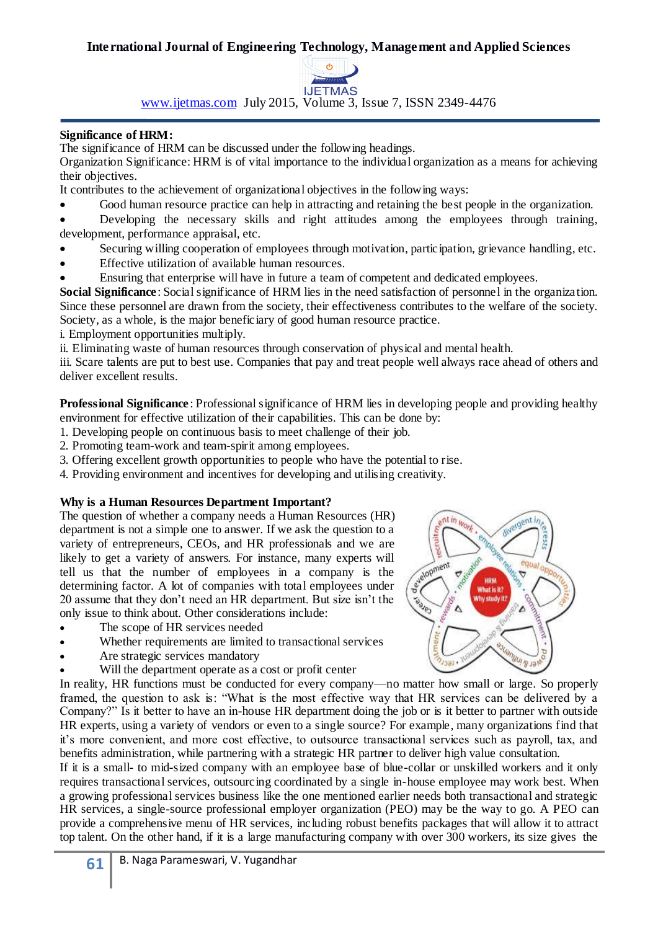

www.ijetmas.com July 2015, Volume 3, Issue 7, ISSN 2349-4476

## **Significance of HRM:**

The significance of HRM can be discussed under the following headings.

Organization Significance: HRM is of vital importance to the individual organization as a means for achieving their objectives.

It contributes to the achievement of organizational objectives in the following ways:

- Good human resource practice can help in attracting and retaining the best people in the organization.
- Developing the necessary skills and right attitudes among the employees through training, development, performance appraisal, etc.
- Securing willing cooperation of employees through motivation, participation, grievance handling, etc.
- Effective utilization of available human resources.
- Ensuring that enterprise will have in future a team of competent and dedicated employees.

**Social Significance**: Social significance of HRM lies in the need satisfaction of personnel in the organization. Since these personnel are drawn from the society, their effectiveness contributes to the welfare of the society. Society, as a whole, is the major beneficiary of good human resource practice.

i. Employment opportunities multiply.

ii. Eliminating waste of human resources through conservation of physical and mental health.

iii. Scare talents are put to best use. Companies that pay and treat people well always race ahead of others and deliver excellent results.

**Professional Significance**: Professional significance of HRM lies in developing people and providing healthy environment for effective utilization of their capabilities. This can be done by:

- 1. Developing people on continuous basis to meet challenge of their job.
- 2. Promoting team-work and team-spirit among employees.
- 3. Offering excellent growth opportunities to people who have the potential to rise.
- 4. Providing environment and incentives for developing and utilising creativity.

# **Why is a Human Resources Department Important?**

The question of whether a company needs a Human Resources (HR) department is not a simple one to answer. If we ask the question to a variety of entrepreneurs, CEOs, and HR professionals and we are likely to get a variety of answers. For instance, many experts will tell us that the number of employees in a company is the determining factor. A lot of companies with total employees under 20 assume that they don't need an HR department. But size isn't the only issue to think about. Other considerations include:

- The scope of HR services needed
- Whether requirements are limited to transactional services
- Are strategic services mandatory
- Will the department operate as a cost or profit center

In reality, HR functions must be conducted for every company—no matter how small or large. So properly framed, the question to ask is: "What is the most effective way that HR services can be delivered by a Company?" Is it better to have an in-house HR department doing the job or is it better to partner with outside HR experts, using a variety of vendors or even to a single source? For example, many organizations find that it's more convenient, and more cost effective, to outsource transactional services such as payroll, tax, and benefits administration, while partnering with a strategic HR partner to deliver high value consultation.

If it is a small- to mid-sized company with an employee base of blue-collar or unskilled workers and it only requires transactional services, outsourcing coordinated by a single in-house employee may work best. When a growing professional services business like the one mentioned earlier needs both transactional and strategic HR services, a single-source professional employer organization (PEO) may be the way to go. A PEO can provide a comprehensive menu of HR services, including robust benefits packages that will allow it to attract top talent. On the other hand, if it is a large manufacturing company with over 300 workers, its size gives the

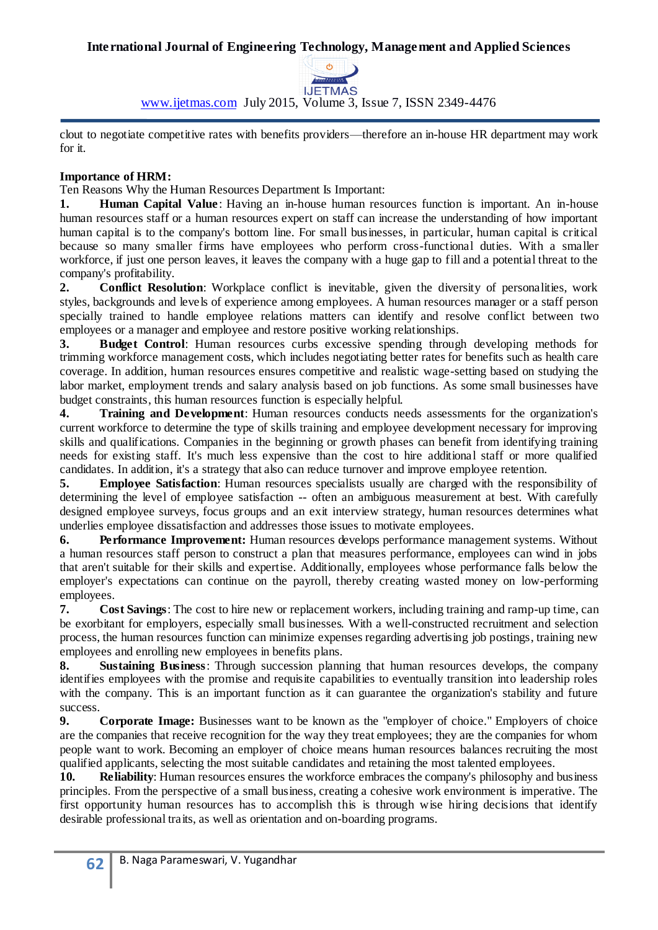

www.ijetmas.com July 2015, Volume 3, Issue 7, ISSN 2349-4476

clout to negotiate competitive rates with benefits providers—therefore an in-house HR department may work for it.

## **Importance of HRM:**

Ten Reasons Why the Human Resources Department Is Important:

**1. Human Capital Value**: Having an in-house human resources function is important. An in-house human resources staff or a human resources expert on staff can increase the understanding of how important human capital is to the company's bottom line. For small businesses, in particular, human capital is critical because so many smaller firms have employees who perform cross-functional duties. With a smaller workforce, if just one person leaves, it leaves the company with a huge gap to fill and a potential threat to the company's profitability.

**2. Conflict Resolution**: Workplace conflict is inevitable, given the diversity of personalities, work styles, backgrounds and levels of experience among employees. A human resources manager or a staff person specially trained to handle employee relations matters can identify and resolve conflict between two employees or a manager and employee and restore positive working relationships.

**3. Budget Control**: Human resources curbs excessive spending through developing methods for trimming workforce management costs, which includes negotiating better rates for benefits such as health care coverage. In addition, human resources ensures competitive and realistic wage-setting based on studying the labor market, employment trends and salary analysis based on job functions. As some small businesses have budget constraints, this human resources function is especially helpful.

**4. Training and Development**: Human resources conducts needs assessments for the organization's current workforce to determine the type of skills training and employee development necessary for improving skills and qualifications. Companies in the beginning or growth phases can benefit from identifying training needs for existing staff. It's much less expensive than the cost to hire additional staff or more qualified candidates. In addition, it's a strategy that also can reduce turnover and improve employee retention.

**5. Employee Satisfaction**: Human resources specialists usually are charged with the responsibility of determining the level of employee satisfaction -- often an ambiguous measurement at best. With carefully designed employee surveys, focus groups and an exit interview strategy, human resources determines what underlies employee dissatisfaction and addresses those issues to motivate employees.

**6. Performance Improvement:** Human resources develops performance management systems. Without a human resources staff person to construct a plan that measures performance, employees can wind in jobs that aren't suitable for their skills and expertise. Additionally, employees whose performance falls below the employer's expectations can continue on the payroll, thereby creating wasted money on low-performing employees.

**7. Cost Savings**: The cost to hire new or replacement workers, including training and ramp-up time, can be exorbitant for employers, especially small businesses. With a well-constructed recruitment and selection process, the human resources function can minimize expenses regarding advertising job postings, training new employees and enrolling new employees in benefits plans.

**8. Sustaining Business**: Through succession planning that human resources develops, the company identifies employees with the promise and requisite capabilities to eventually transition into leadership roles with the company. This is an important function as it can guarantee the organization's stability and future success.

**9. Corporate Image:** Businesses want to be known as the "employer of choice." Employers of choice are the companies that receive recognition for the way they treat employees; they are the companies for whom people want to work. Becoming an employer of choice means human resources balances recruiting the most qualified applicants, selecting the most suitable candidates and retaining the most talented employees.

**10. Reliability**: Human resources ensures the workforce embraces the company's philosophy and business principles. From the perspective of a small business, creating a cohesive work environment is imperative. The first opportunity human resources has to accomplish this is through wise hiring decisions that identify desirable professional traits, as well as orientation and on-boarding programs.